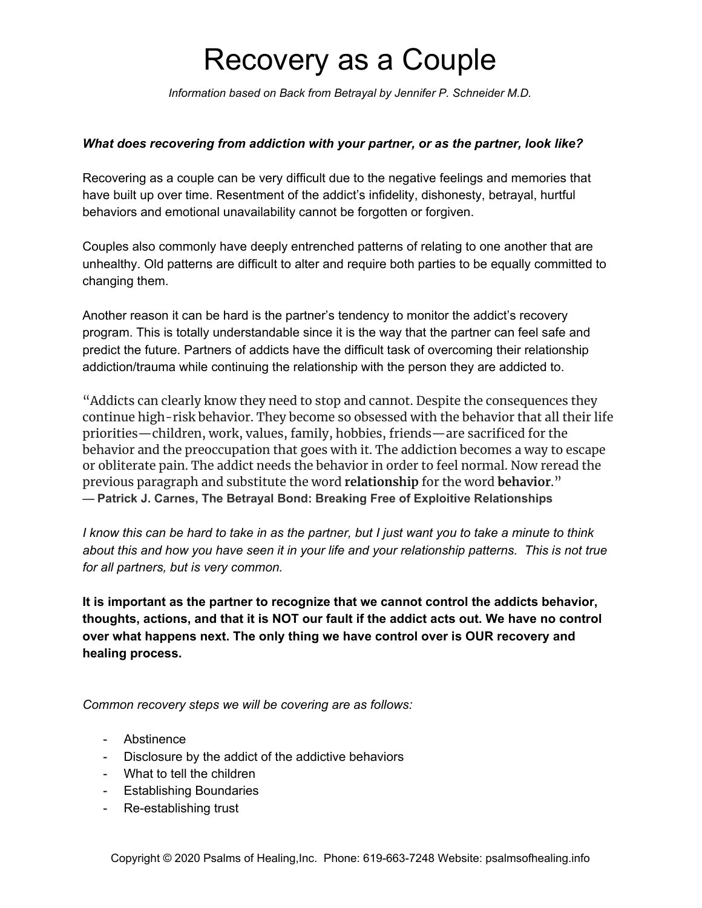# Recovery as a Couple

*Information based on Back from Betrayal by Jennifer P. Schneider M.D.*

#### *What does recovering from addiction with your partner, or as the partner, look like?*

Recovering as a couple can be very difficult due to the negative feelings and memories that have built up over time. Resentment of the addict's infidelity, dishonesty, betrayal, hurtful behaviors and emotional unavailability cannot be forgotten or forgiven.

Couples also commonly have deeply entrenched patterns of relating to one another that are unhealthy. Old patterns are difficult to alter and require both parties to be equally committed to changing them.

Another reason it can be hard is the partner's tendency to monitor the addict's recovery program. This is totally understandable since it is the way that the partner can feel safe and predict the future. Partners of addicts have the difficult task of overcoming their relationship addiction/trauma while continuing the relationship with the person they are addicted to.

"Addicts can clearly know they need to stop and cannot. Despite the consequences they continue high-risk behavior. They become so obsessed with the behavior that all their life priorities—children, work, values, family, hobbies, friends—are sacrificed for the behavior and the preoccupation that goes with it. The addiction becomes a way to escape or obliterate pain. The addict needs the behavior in order to feel normal. Now reread the previous paragraph and substitute the word **relationship** for the word **behavior**." ― **Patrick J. Carnes, [The Betrayal Bond: Breaking Free of Exploitive Relationships](https://www.goodreads.com/work/quotes/136644)**

I know this can be hard to take in as the partner, but I just want you to take a minute to think about this and how you have seen it in your life and your relationship patterns. This is not true *for all partners, but is very common.*

**It is important as the partner to recognize that we cannot control the addicts behavior, thoughts, actions, and that it is NOT our fault if the addict acts out. We have no control over what happens next. The only thing we have control over is OUR recovery and healing process.**

*Common recovery steps we will be covering are as follows:*

- Abstinence
- Disclosure by the addict of the addictive behaviors
- What to tell the children
- Establishing Boundaries
- Re-establishing trust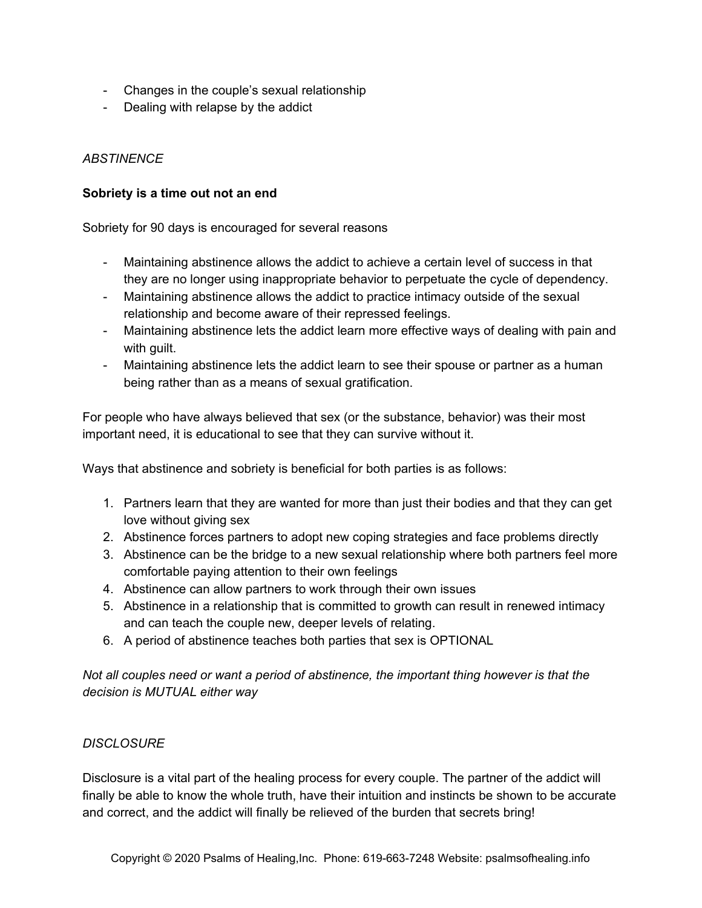- Changes in the couple's sexual relationship
- Dealing with relapse by the addict

# *ABSTINENCE*

#### **Sobriety is a time out not an end**

Sobriety for 90 days is encouraged for several reasons

- Maintaining abstinence allows the addict to achieve a certain level of success in that they are no longer using inappropriate behavior to perpetuate the cycle of dependency.
- Maintaining abstinence allows the addict to practice intimacy outside of the sexual relationship and become aware of their repressed feelings.
- Maintaining abstinence lets the addict learn more effective ways of dealing with pain and with guilt.
- Maintaining abstinence lets the addict learn to see their spouse or partner as a human being rather than as a means of sexual gratification.

For people who have always believed that sex (or the substance, behavior) was their most important need, it is educational to see that they can survive without it.

Ways that abstinence and sobriety is beneficial for both parties is as follows:

- 1. Partners learn that they are wanted for more than just their bodies and that they can get love without giving sex
- 2. Abstinence forces partners to adopt new coping strategies and face problems directly
- 3. Abstinence can be the bridge to a new sexual relationship where both partners feel more comfortable paying attention to their own feelings
- 4. Abstinence can allow partners to work through their own issues
- 5. Abstinence in a relationship that is committed to growth can result in renewed intimacy and can teach the couple new, deeper levels of relating.
- 6. A period of abstinence teaches both parties that sex is OPTIONAL

*Not all couples need or want a period of abstinence, the important thing however is that the decision is MUTUAL either way*

## *DISCLOSURE*

Disclosure is a vital part of the healing process for every couple. The partner of the addict will finally be able to know the whole truth, have their intuition and instincts be shown to be accurate and correct, and the addict will finally be relieved of the burden that secrets bring!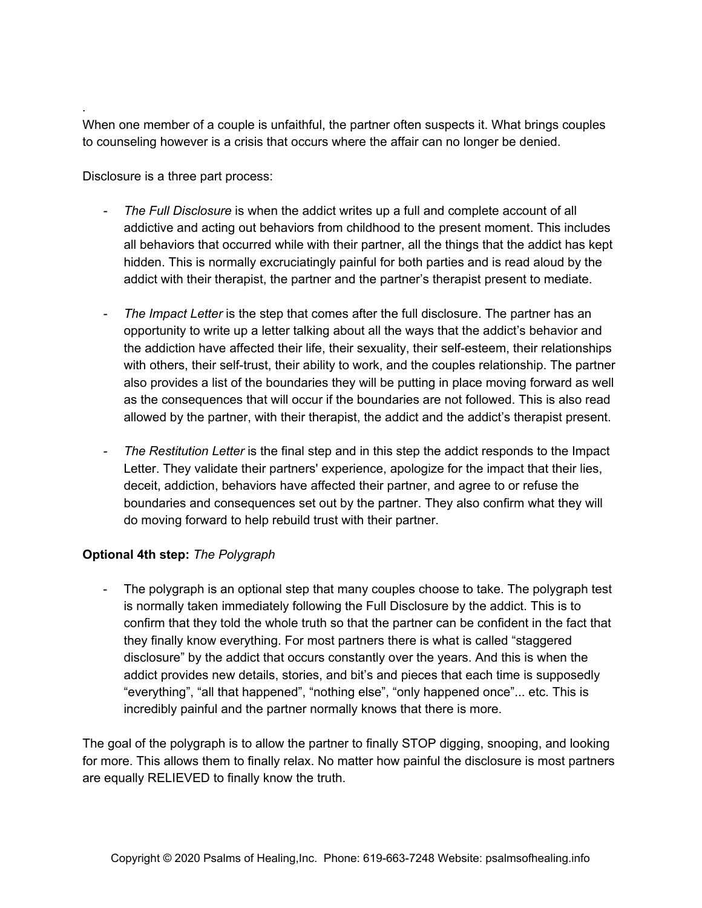When one member of a couple is unfaithful, the partner often suspects it. What brings couples to counseling however is a crisis that occurs where the affair can no longer be denied.

Disclosure is a three part process:

*.*

- *- The Full Disclosure* is when the addict writes up a full and complete account of all addictive and acting out behaviors from childhood to the present moment. This includes all behaviors that occurred while with their partner, all the things that the addict has kept hidden. This is normally excruciatingly painful for both parties and is read aloud by the addict with their therapist, the partner and the partner's therapist present to mediate.
- *- The Impact Letter* is the step that comes after the full disclosure. The partner has an opportunity to write up a letter talking about all the ways that the addict's behavior and the addiction have affected their life, their sexuality, their self-esteem, their relationships with others, their self-trust, their ability to work, and the couples relationship. The partner also provides a list of the boundaries they will be putting in place moving forward as well as the consequences that will occur if the boundaries are not followed. This is also read allowed by the partner, with their therapist, the addict and the addict's therapist present.
- *- The Restitution Letter* is the final step and in this step the addict responds to the Impact Letter. They validate their partners' experience, apologize for the impact that their lies, deceit, addiction, behaviors have affected their partner, and agree to or refuse the boundaries and consequences set out by the partner. They also confirm what they will do moving forward to help rebuild trust with their partner.

## **Optional 4th step:** *The Polygraph*

The polygraph is an optional step that many couples choose to take. The polygraph test is normally taken immediately following the Full Disclosure by the addict. This is to confirm that they told the whole truth so that the partner can be confident in the fact that they finally know everything. For most partners there is what is called "staggered disclosure" by the addict that occurs constantly over the years. And this is when the addict provides new details, stories, and bit's and pieces that each time is supposedly "everything", "all that happened", "nothing else", "only happened once"... etc. This is incredibly painful and the partner normally knows that there is more.

The goal of the polygraph is to allow the partner to finally STOP digging, snooping, and looking for more. This allows them to finally relax. No matter how painful the disclosure is most partners are equally RELIEVED to finally know the truth.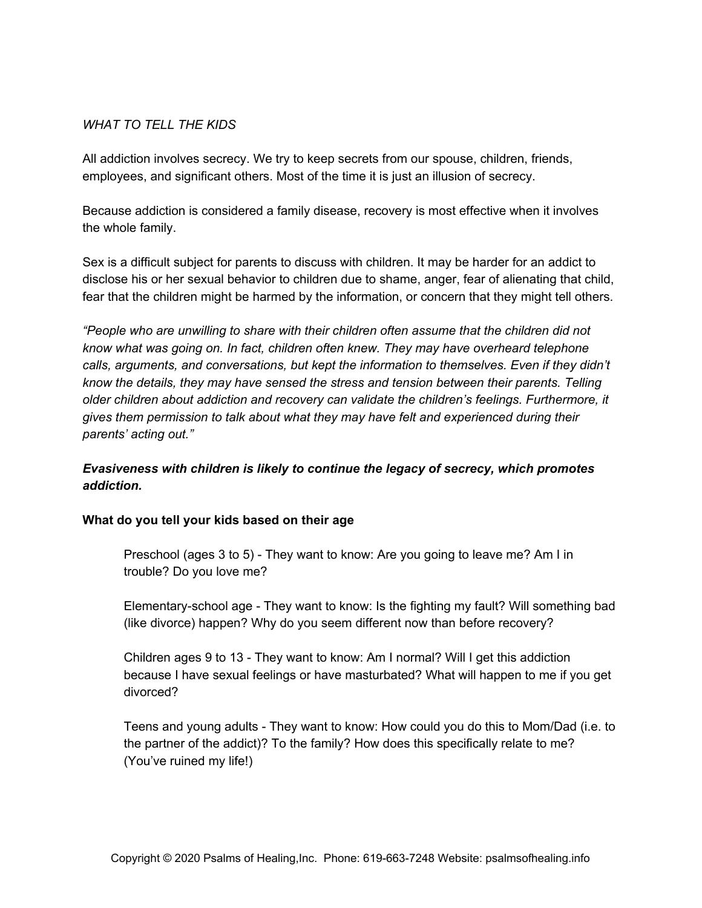#### *WHAT TO TELL THE KIDS*

All addiction involves secrecy. We try to keep secrets from our spouse, children, friends, employees, and significant others. Most of the time it is just an illusion of secrecy.

Because addiction is considered a family disease, recovery is most effective when it involves the whole family.

Sex is a difficult subject for parents to discuss with children. It may be harder for an addict to disclose his or her sexual behavior to children due to shame, anger, fear of alienating that child, fear that the children might be harmed by the information, or concern that they might tell others.

*"People who are unwilling to share with their children often assume that the children did not know what was going on. In fact, children often knew. They may have overheard telephone calls, arguments, and conversations, but kept the information to themselves. Even if they didn't know the details, they may have sensed the stress and tension between their parents. Telling older children about addiction and recovery can validate the children's feelings. Furthermore, it gives them permission to talk about what they may have felt and experienced during their parents' acting out."*

## *Evasiveness with children is likely to continue the legacy of secrecy, which promotes addiction.*

#### **What do you tell your kids based on their age**

Preschool (ages 3 to 5) - They want to know: Are you going to leave me? Am I in trouble? Do you love me?

Elementary-school age - They want to know: Is the fighting my fault? Will something bad (like divorce) happen? Why do you seem different now than before recovery?

Children ages 9 to 13 - They want to know: Am I normal? Will I get this addiction because I have sexual feelings or have masturbated? What will happen to me if you get divorced?

Teens and young adults - They want to know: How could you do this to Mom/Dad (i.e. to the partner of the addict)? To the family? How does this specifically relate to me? (You've ruined my life!)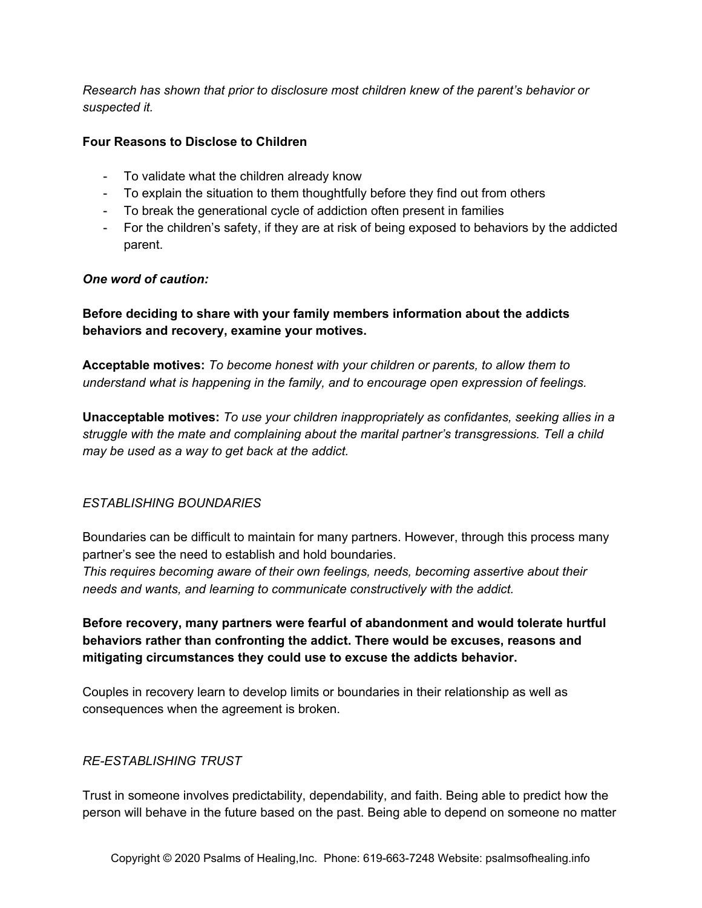*Research has shown that prior to disclosure most children knew of the parent's behavior or suspected it.*

#### **Four Reasons to Disclose to Children**

- To validate what the children already know
- To explain the situation to them thoughtfully before they find out from others
- To break the generational cycle of addiction often present in families
- For the children's safety, if they are at risk of being exposed to behaviors by the addicted parent.

#### *One word of caution:*

**Before deciding to share with your family members information about the addicts behaviors and recovery, examine your motives.**

**Acceptable motives:** *To become honest with your children or parents, to allow them to understand what is happening in the family, and to encourage open expression of feelings.*

**Unacceptable motives:** *To use your children inappropriately as confidantes, seeking allies in a struggle with the mate and complaining about the marital partner's transgressions. Tell a child may be used as a way to get back at the addict.*

## *ESTABLISHING BOUNDARIES*

Boundaries can be difficult to maintain for many partners. However, through this process many partner's see the need to establish and hold boundaries.

*This requires becoming aware of their own feelings, needs, becoming assertive about their needs and wants, and learning to communicate constructively with the addict.*

**Before recovery, many partners were fearful of abandonment and would tolerate hurtful behaviors rather than confronting the addict. There would be excuses, reasons and mitigating circumstances they could use to excuse the addicts behavior.**

Couples in recovery learn to develop limits or boundaries in their relationship as well as consequences when the agreement is broken.

## *RE-ESTABLISHING TRUST*

Trust in someone involves predictability, dependability, and faith. Being able to predict how the person will behave in the future based on the past. Being able to depend on someone no matter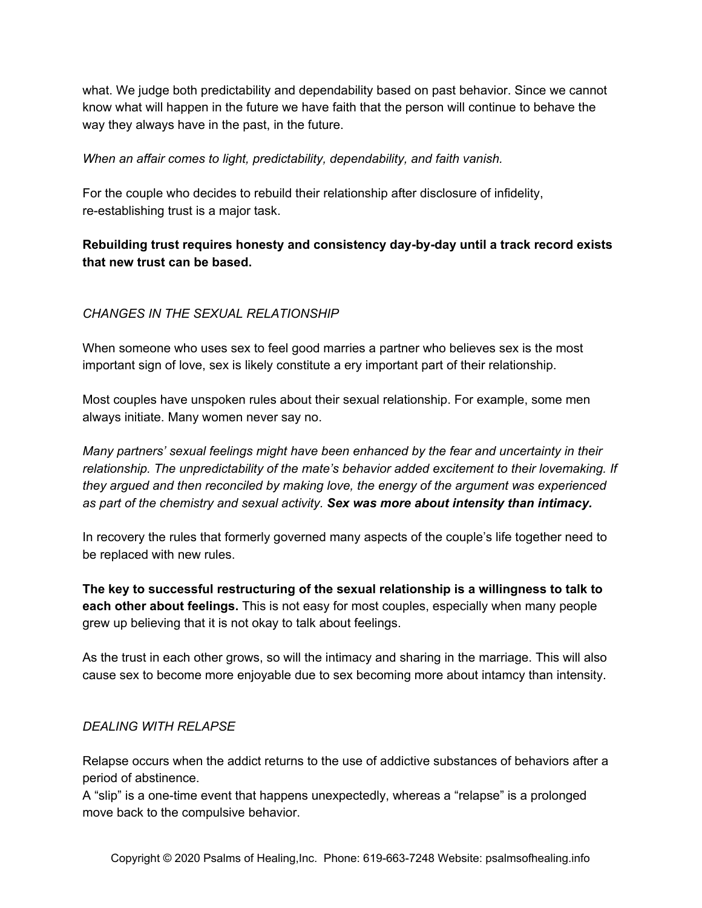what. We judge both predictability and dependability based on past behavior. Since we cannot know what will happen in the future we have faith that the person will continue to behave the way they always have in the past, in the future.

#### *When an affair comes to light, predictability, dependability, and faith vanish.*

For the couple who decides to rebuild their relationship after disclosure of infidelity, re-establishing trust is a major task.

# **Rebuilding trust requires honesty and consistency day-by-day until a track record exists that new trust can be based.**

## *CHANGES IN THE SEXUAL RELATIONSHIP*

When someone who uses sex to feel good marries a partner who believes sex is the most important sign of love, sex is likely constitute a ery important part of their relationship.

Most couples have unspoken rules about their sexual relationship. For example, some men always initiate. Many women never say no.

*Many partners' sexual feelings might have been enhanced by the fear and uncertainty in their relationship. The unpredictability of the mate's behavior added excitement to their lovemaking. If they argued and then reconciled by making love, the energy of the argument was experienced as part of the chemistry and sexual activity. Sex was more about intensity than intimacy.*

In recovery the rules that formerly governed many aspects of the couple's life together need to be replaced with new rules.

**The key to successful restructuring of the sexual relationship is a willingness to talk to each other about feelings.** This is not easy for most couples, especially when many people grew up believing that it is not okay to talk about feelings.

As the trust in each other grows, so will the intimacy and sharing in the marriage. This will also cause sex to become more enjoyable due to sex becoming more about intamcy than intensity.

## *DEALING WITH RELAPSE*

Relapse occurs when the addict returns to the use of addictive substances of behaviors after a period of abstinence.

A "slip" is a one-time event that happens unexpectedly, whereas a "relapse" is a prolonged move back to the compulsive behavior.